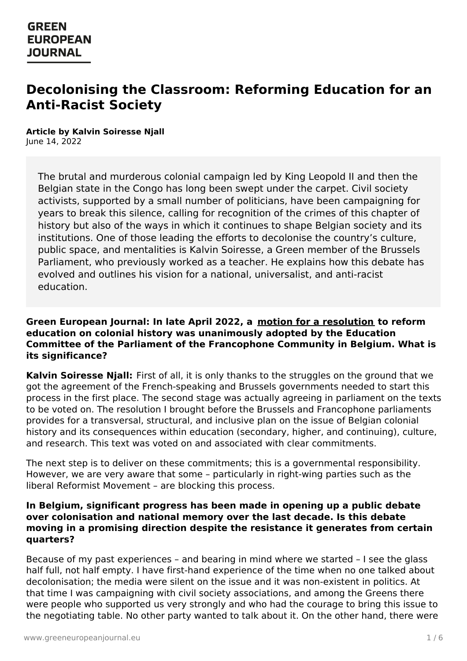# **Decolonising the Classroom: Reforming Education for an Anti-Racist Society**

**Article by Kalvin Soiresse Njall** June 14, 2022

The brutal and murderous colonial campaign led by King Leopold II and then the Belgian state in the Congo has long been swept under the carpet. Civil society activists, supported by a small number of politicians, have been campaigning for years to break this silence, calling for recognition of the crimes of this chapter of history but also of the ways in which it continues to shape Belgian society and its institutions. One of those leading the efforts to decolonise the country's culture, public space, and mentalities is Kalvin Soiresse, a Green member of the Brussels Parliament, who previously worked as a teacher. He explains how this debate has evolved and outlines his vision for a national, universalist, and anti-racist education.

#### **Green European Journal: In late April 2022, a motion for a [resolution](http://archive.pfwb.be/1000000020c901f) to reform education on colonial history was unanimously adopted by the Education Committee of the Parliament of the Francophone Community in Belgium. What is its significance?**

**Kalvin Soiresse Njall:** First of all, it is only thanks to the struggles on the ground that we got the agreement of the French-speaking and Brussels governments needed to start this process in the first place. The second stage was actually agreeing in parliament on the texts to be voted on. The resolution I brought before the Brussels and Francophone parliaments provides for a transversal, structural, and inclusive plan on the issue of Belgian colonial history and its consequences within education (secondary, higher, and continuing), culture, and research. This text was voted on and associated with clear commitments.

The next step is to deliver on these commitments; this is a governmental responsibility. However, we are very aware that some – particularly in right-wing parties such as the liberal Reformist Movement – are blocking this process.

#### **In Belgium, significant progress has been made in opening up a public debate over colonisation and national memory over the last decade. Is this debate moving in a promising direction despite the resistance it generates from certain quarters?**

[Because](https://www.greeneuropeanjournal.eu) of my past experiences – and bearing in mind where we started – I see the glass half full, not half empty. I have first-hand experience of the time when no one talked about decolonisation; the media were silent on the issue and it was non-existent in politics. At that time I was campaigning with civil society associations, and among the Greens there were people who supported us very strongly and who had the courage to bring this issue to the negotiating table. No other party wanted to talk about it. On the other hand, there were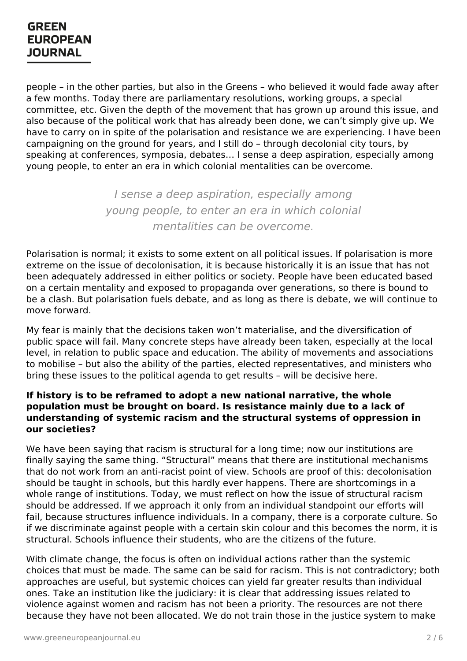people – in the other parties, but also in the Greens – who believed it would fade away after a few months. Today there are parliamentary resolutions, working groups, a special committee, etc. Given the depth of the movement that has grown up around this issue, and also because of the political work that has already been done, we can't simply give up. We have to carry on in spite of the polarisation and resistance we are experiencing. I have been campaigning on the ground for years, and I still do – through decolonial city tours, by speaking at conferences, symposia, debates… I sense a deep aspiration, especially among young people, to enter an era in which colonial mentalities can be overcome.

> I sense a deep aspiration, especially among young people, to enter an era in which colonial mentalities can be overcome.

Polarisation is normal; it exists to some extent on all political issues. If polarisation is more extreme on the issue of decolonisation, it is because historically it is an issue that has not been adequately addressed in either politics or society. People have been educated based on a certain mentality and exposed to propaganda over generations, so there is bound to be a clash. But polarisation fuels debate, and as long as there is debate, we will continue to move forward.

My fear is mainly that the decisions taken won't materialise, and the diversification of public space will fail. Many concrete steps have already been taken, especially at the local level, in relation to public space and education. The ability of movements and associations to mobilise – but also the ability of the parties, elected representatives, and ministers who bring these issues to the political agenda to get results – will be decisive here.

#### **If history is to be reframed to adopt a new national narrative, the whole population must be brought on board. Is resistance mainly due to a lack of understanding of systemic racism and the structural systems of oppression in our societies?**

We have been saying that racism is structural for a long time; now our institutions are finally saying the same thing. "Structural" means that there are institutional mechanisms that do not work from an anti-racist point of view. Schools are proof of this: decolonisation should be taught in schools, but this hardly ever happens. There are shortcomings in a whole range of institutions. Today, we must reflect on how the issue of structural racism should be addressed. If we approach it only from an individual standpoint our efforts will fail, because structures influence individuals. In a company, there is a corporate culture. So if we discriminate against people with a certain skin colour and this becomes the norm, it is structural. Schools influence their students, who are the citizens of the future.

With climate [change,](https://www.greeneuropeanjournal.eu) the focus is often on individual actions rather than the systemic choices that must be made. The same can be said for racism. This is not contradictory; both approaches are useful, but systemic choices can yield far greater results than individual ones. Take an institution like the judiciary: it is clear that addressing issues related to violence against women and racism has not been a priority. The resources are not there because they have not been allocated. We do not train those in the justice system to make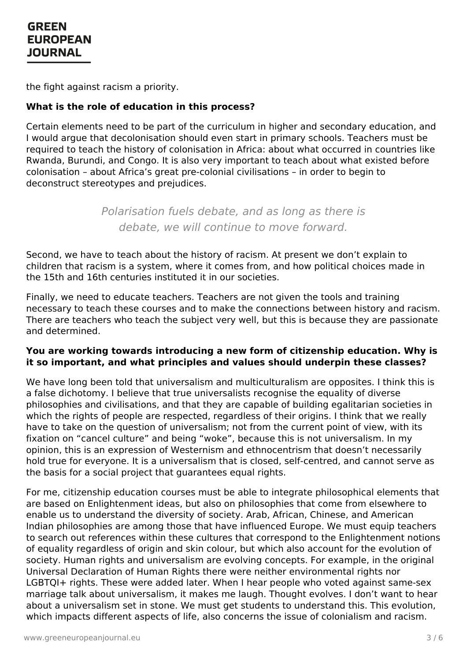the fight against racism a priority.

### **What is the role of education in this process?**

Certain elements need to be part of the curriculum in higher and secondary education, and I would argue that decolonisation should even start in primary schools. Teachers must be required to teach the history of colonisation in Africa: about what occurred in countries like Rwanda, Burundi, and Congo. It is also very important to teach about what existed before colonisation – about Africa's great pre-colonial civilisations – in order to begin to deconstruct stereotypes and prejudices.

> Polarisation fuels debate, and as long as there is debate, we will continue to move forward.

Second, we have to teach about the history of racism. At present we don't explain to children that racism is a system, where it comes from, and how political choices made in the 15th and 16th centuries instituted it in our societies.

Finally, we need to educate teachers. Teachers are not given the tools and training necessary to teach these courses and to make the connections between history and racism. There are teachers who teach the subject very well, but this is because they are passionate and determined.

#### **You are working towards introducing a new form of citizenship education. Why is it so important, and what principles and values should underpin these classes?**

We have long been told that universalism and multiculturalism are opposites. I think this is a false dichotomy. I believe that true universalists recognise the equality of diverse philosophies and civilisations, and that they are capable of building egalitarian societies in which the rights of people are respected, regardless of their origins. I think that we really have to take on the question of universalism; not from the current point of view, with its fixation on "cancel culture" and being "woke", because this is not universalism. In my opinion, this is an expression of Westernism and ethnocentrism that doesn't necessarily hold true for everyone. It is a universalism that is closed, self-centred, and cannot serve as the basis for a social project that guarantees equal rights.

For me, citizenship education courses must be able to integrate philosophical elements that are based on Enlightenment ideas, but also on philosophies that come from elsewhere to enable us to understand the diversity of society. Arab, African, Chinese, and American Indian philosophies are among those that have influenced Europe. We must equip teachers to search out references within these cultures that correspond to the Enlightenment notions of equality [regardless](https://www.greeneuropeanjournal.eu) of origin and skin colour, but which also account for the evolution of society. Human rights and universalism are evolving concepts. For example, in the original Universal Declaration of Human Rights there were neither environmental rights nor LGBTQI+ rights. These were added later. When I hear people who voted against same-sex marriage talk about universalism, it makes me laugh. Thought evolves. I don't want to hear about a universalism set in stone. We must get students to understand this. This evolution, which impacts different aspects of life, also concerns the issue of colonialism and racism.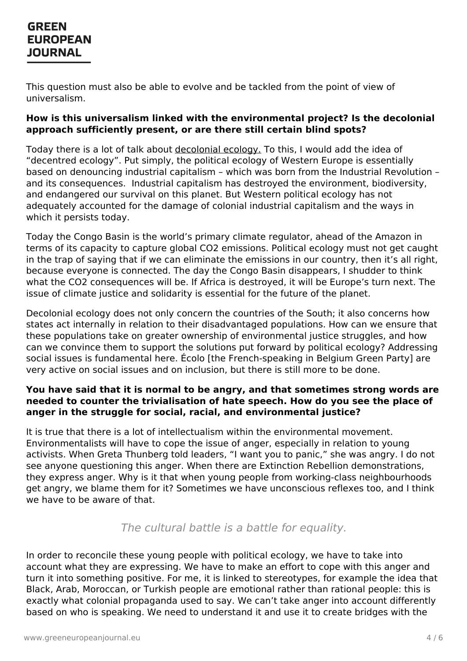This question must also be able to evolve and be tackled from the point of view of universalism.

### **How is this universalism linked with the environmental project? Is the decolonial approach sufficiently present, or are there still certain blind spots?**

Today there is a lot of talk about [decolonial](https://www.greeneuropeanjournal.eu/why-we-need-a-decolonial-ecology/) ecology. To this, I would add the idea of "decentred ecology". Put simply, the political ecology of Western Europe is essentially based on denouncing industrial capitalism – which was born from the Industrial Revolution – and its consequences. Industrial capitalism has destroyed the environment, biodiversity, and endangered our survival on this planet. But Western political ecology has not adequately accounted for the damage of colonial industrial capitalism and the ways in which it persists today.

Today the Congo Basin is the world's primary climate regulator, ahead of the Amazon in terms of its capacity to capture global CO2 emissions. Political ecology must not get caught in the trap of saving that if we can eliminate the emissions in our country, then it's all right, because everyone is connected. The day the Congo Basin disappears, I shudder to think what the CO2 consequences will be. If Africa is destroyed, it will be Europe's turn next. The issue of climate justice and solidarity is essential for the future of the planet.

Decolonial ecology does not only concern the countries of the South; it also concerns how states act internally in relation to their disadvantaged populations. How can we ensure that these populations take on greater ownership of environmental justice struggles, and how can we convince them to support the solutions put forward by political ecology? Addressing social issues is fundamental here. Écolo [the French-speaking in Belgium Green Party] are very active on social issues and on inclusion, but there is still more to be done.

### **You have said that it is normal to be angry, and that sometimes strong words are needed to counter the trivialisation of hate speech. How do you see the place of anger in the struggle for social, racial, and environmental justice?**

It is true that there is a lot of intellectualism within the environmental movement. Environmentalists will have to cope the issue of anger, especially in relation to young activists. When Greta Thunberg told leaders, "I want you to panic," she was angry. I do not see anyone questioning this anger. When there are Extinction Rebellion demonstrations, they express anger. Why is it that when young people from working-class neighbourhoods get angry, we blame them for it? Sometimes we have unconscious reflexes too, and I think we have to be aware of that.

### The cultural battle is a battle for equality.

In order to [reconcile](https://www.greeneuropeanjournal.eu) these young people with political ecology, we have to take into account what they are expressing. We have to make an effort to cope with this anger and turn it into something positive. For me, it is linked to stereotypes, for example the idea that Black, Arab, Moroccan, or Turkish people are emotional rather than rational people: this is exactly what colonial propaganda used to say. We can't take anger into account differently based on who is speaking. We need to understand it and use it to create bridges with the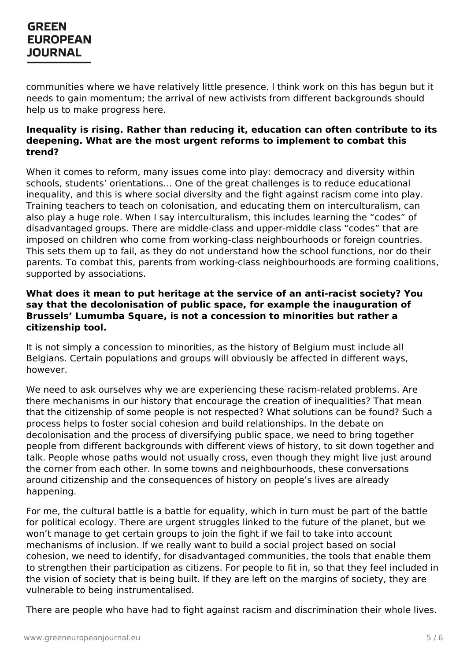communities where we have relatively little presence. I think work on this has begun but it needs to gain momentum; the arrival of new activists from different backgrounds should help us to make progress here.

### **Inequality is rising. Rather than reducing it, education can often contribute to its deepening. What are the most urgent reforms to implement to combat this trend?**

When it comes to reform, many issues come into play: democracy and diversity within schools, students' orientations… One of the great challenges is to reduce educational inequality, and this is where social diversity and the fight against racism come into play. Training teachers to teach on colonisation, and educating them on interculturalism, can also play a huge role. When I say interculturalism, this includes learning the "codes" of disadvantaged groups. There are middle-class and upper-middle class "codes" that are imposed on children who come from working-class neighbourhoods or foreign countries. This sets them up to fail, as they do not understand how the school functions, nor do their parents. To combat this, parents from working-class neighbourhoods are forming coalitions, supported by associations.

#### **What does it mean to put heritage at the service of an anti-racist society? You say that the decolonisation of public space, for example the inauguration of Brussels' Lumumba Square, is not a concession to minorities but rather a citizenship tool.**

It is not simply a concession to minorities, as the history of Belgium must include all Belgians. Certain populations and groups will obviously be affected in different ways, however.

We need to ask ourselves why we are experiencing these racism-related problems. Are there mechanisms in our history that encourage the creation of inequalities? That mean that the citizenship of some people is not respected? What solutions can be found? Such a process helps to foster social cohesion and build relationships. In the debate on decolonisation and the process of diversifying public space, we need to bring together people from different backgrounds with different views of history, to sit down together and talk. People whose paths would not usually cross, even though they might live just around the corner from each other. In some towns and neighbourhoods, these conversations around citizenship and the consequences of history on people's lives are already happening.

For me, the cultural battle is a battle for equality, which in turn must be part of the battle for political ecology. There are urgent struggles linked to the future of the planet, but we won't manage to get certain groups to join the fight if we fail to take into account mechanisms of inclusion. If we really want to build a social project based on social [cohesion,](https://www.greeneuropeanjournal.eu) we need to identify, for disadvantaged communities, the tools that enable them to strengthen their participation as citizens. For people to fit in, so that they feel included in the vision of society that is being built. If they are left on the margins of society, they are vulnerable to being instrumentalised.

There are people who have had to fight against racism and discrimination their whole lives.